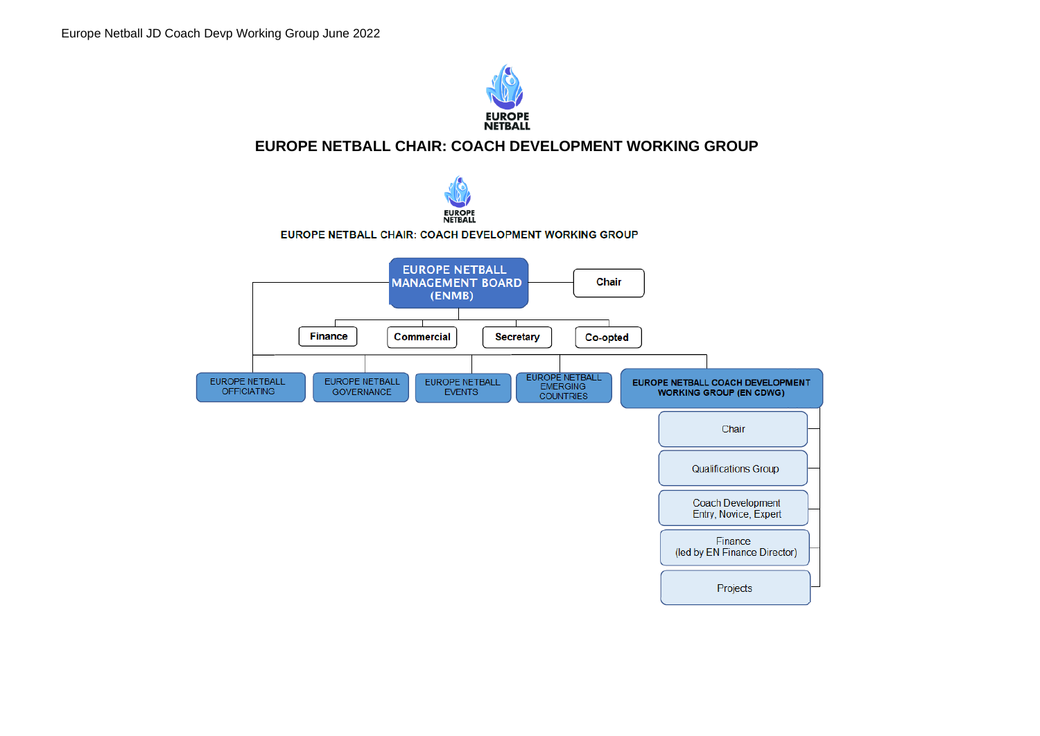

# **EUROPE NETBALL CHAIR: COACH DEVELOPMENT WORKING GROUP**

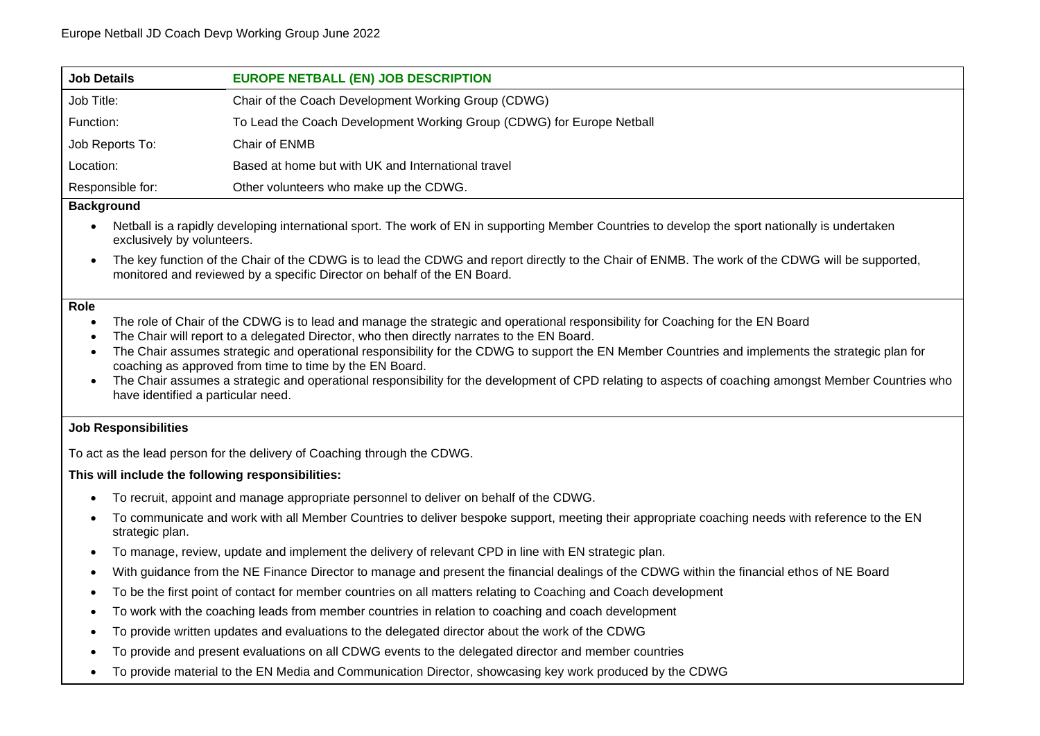| <b>Job Details</b>                                                                                                                                                                                                                                                                                                                                                                                                                                                                                                                                                                                                                                                  | <b>EUROPE NETBALL (EN) JOB DESCRIPTION</b>                                             |  |
|---------------------------------------------------------------------------------------------------------------------------------------------------------------------------------------------------------------------------------------------------------------------------------------------------------------------------------------------------------------------------------------------------------------------------------------------------------------------------------------------------------------------------------------------------------------------------------------------------------------------------------------------------------------------|----------------------------------------------------------------------------------------|--|
| Job Title:                                                                                                                                                                                                                                                                                                                                                                                                                                                                                                                                                                                                                                                          | Chair of the Coach Development Working Group (CDWG)                                    |  |
| Function:                                                                                                                                                                                                                                                                                                                                                                                                                                                                                                                                                                                                                                                           | To Lead the Coach Development Working Group (CDWG) for Europe Netball                  |  |
| Job Reports To:                                                                                                                                                                                                                                                                                                                                                                                                                                                                                                                                                                                                                                                     | Chair of ENMB                                                                          |  |
| Location:                                                                                                                                                                                                                                                                                                                                                                                                                                                                                                                                                                                                                                                           | Based at home but with UK and International travel                                     |  |
| Responsible for:                                                                                                                                                                                                                                                                                                                                                                                                                                                                                                                                                                                                                                                    | Other volunteers who make up the CDWG.                                                 |  |
| <b>Background</b>                                                                                                                                                                                                                                                                                                                                                                                                                                                                                                                                                                                                                                                   |                                                                                        |  |
| Netball is a rapidly developing international sport. The work of EN in supporting Member Countries to develop the sport nationally is undertaken<br>$\bullet$<br>exclusively by volunteers.                                                                                                                                                                                                                                                                                                                                                                                                                                                                         |                                                                                        |  |
| The key function of the Chair of the CDWG is to lead the CDWG and report directly to the Chair of ENMB. The work of the CDWG will be supported,<br>$\bullet$<br>monitored and reviewed by a specific Director on behalf of the EN Board.                                                                                                                                                                                                                                                                                                                                                                                                                            |                                                                                        |  |
| Role<br>The role of Chair of the CDWG is to lead and manage the strategic and operational responsibility for Coaching for the EN Board<br>The Chair will report to a delegated Director, who then directly narrates to the EN Board.<br>٠<br>The Chair assumes strategic and operational responsibility for the CDWG to support the EN Member Countries and implements the strategic plan for<br>coaching as approved from time to time by the EN Board.<br>The Chair assumes a strategic and operational responsibility for the development of CPD relating to aspects of coaching amongst Member Countries who<br>$\bullet$<br>have identified a particular need. |                                                                                        |  |
| <b>Job Responsibilities</b>                                                                                                                                                                                                                                                                                                                                                                                                                                                                                                                                                                                                                                         |                                                                                        |  |
| To act as the lead person for the delivery of Coaching through the CDWG.                                                                                                                                                                                                                                                                                                                                                                                                                                                                                                                                                                                            |                                                                                        |  |
| This will include the following responsibilities:                                                                                                                                                                                                                                                                                                                                                                                                                                                                                                                                                                                                                   |                                                                                        |  |
|                                                                                                                                                                                                                                                                                                                                                                                                                                                                                                                                                                                                                                                                     | To recruit, appoint and manage appropriate personnel to deliver on behalf of the CDWG. |  |

- To communicate and work with all Member Countries to deliver bespoke support, meeting their appropriate coaching needs with reference to the EN strategic plan.
- To manage, review, update and implement the delivery of relevant CPD in line with EN strategic plan.
- With guidance from the NE Finance Director to manage and present the financial dealings of the CDWG within the financial ethos of NE Board
- To be the first point of contact for member countries on all matters relating to Coaching and Coach development
- To work with the coaching leads from member countries in relation to coaching and coach development
- To provide written updates and evaluations to the delegated director about the work of the CDWG
- To provide and present evaluations on all CDWG events to the delegated director and member countries
- To provide material to the EN Media and Communication Director, showcasing key work produced by the CDWG